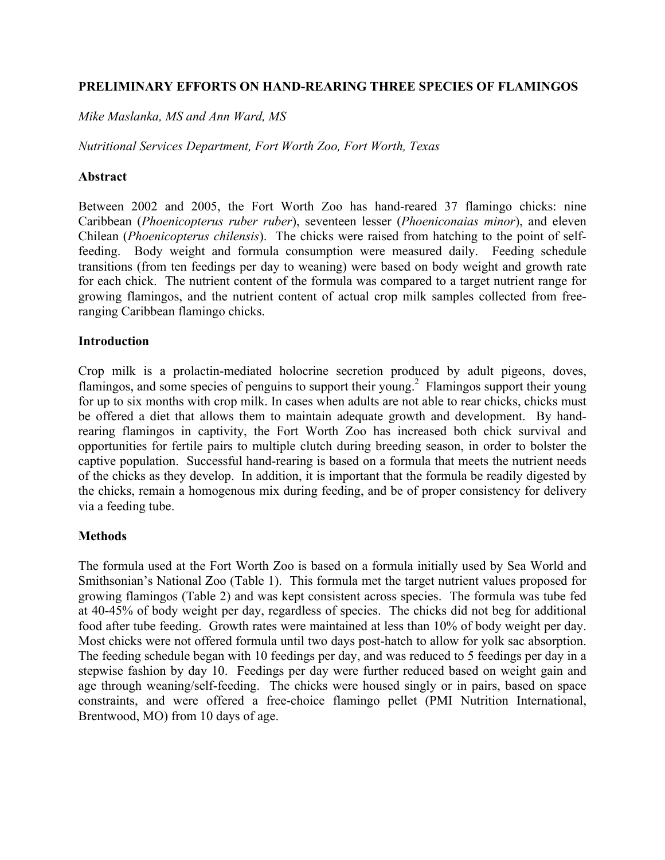## **PRELIMINARY EFFORTS ON HAND-REARING THREE SPECIES OF FLAMINGOS**

*Mike Maslanka, MS and Ann Ward, MS*

*Nutritional Services Department, Fort Worth Zoo, Fort Worth, Texas*

## **Abstract**

Between 2002 and 2005, the Fort Worth Zoo has hand-reared 37 flamingo chicks: nine Caribbean (*Phoenicopterus ruber ruber*), seventeen lesser (*Phoeniconaias minor*), and eleven Chilean (*Phoenicopterus chilensis*). The chicks were raised from hatching to the point of selffeeding. Body weight and formula consumption were measured daily. Feeding schedule transitions (from ten feedings per day to weaning) were based on body weight and growth rate for each chick. The nutrient content of the formula was compared to a target nutrient range for growing flamingos, and the nutrient content of actual crop milk samples collected from freeranging Caribbean flamingo chicks.

## **Introduction**

Crop milk is a prolactin-mediated holocrine secretion produced by adult pigeons, doves, flamingos, and some species of penguins to support their young.<sup>2</sup> Flamingos support their young for up to six months with crop milk. In cases when adults are not able to rear chicks, chicks must be offered a diet that allows them to maintain adequate growth and development. By handrearing flamingos in captivity, the Fort Worth Zoo has increased both chick survival and opportunities for fertile pairs to multiple clutch during breeding season, in order to bolster the captive population. Successful hand-rearing is based on a formula that meets the nutrient needs of the chicks as they develop. In addition, it is important that the formula be readily digested by the chicks, remain a homogenous mix during feeding, and be of proper consistency for delivery via a feeding tube.

#### **Methods**

The formula used at the Fort Worth Zoo is based on a formula initially used by Sea World and Smithsonian's National Zoo (Table 1). This formula met the target nutrient values proposed for growing flamingos (Table 2) and was kept consistent across species. The formula was tube fed at 40-45% of body weight per day, regardless of species. The chicks did not beg for additional food after tube feeding. Growth rates were maintained at less than 10% of body weight per day. Most chicks were not offered formula until two days post-hatch to allow for yolk sac absorption. The feeding schedule began with 10 feedings per day, and was reduced to 5 feedings per day in a stepwise fashion by day 10. Feedings per day were further reduced based on weight gain and age through weaning/self-feeding. The chicks were housed singly or in pairs, based on space constraints, and were offered a free-choice flamingo pellet (PMI Nutrition International, Brentwood, MO) from 10 days of age.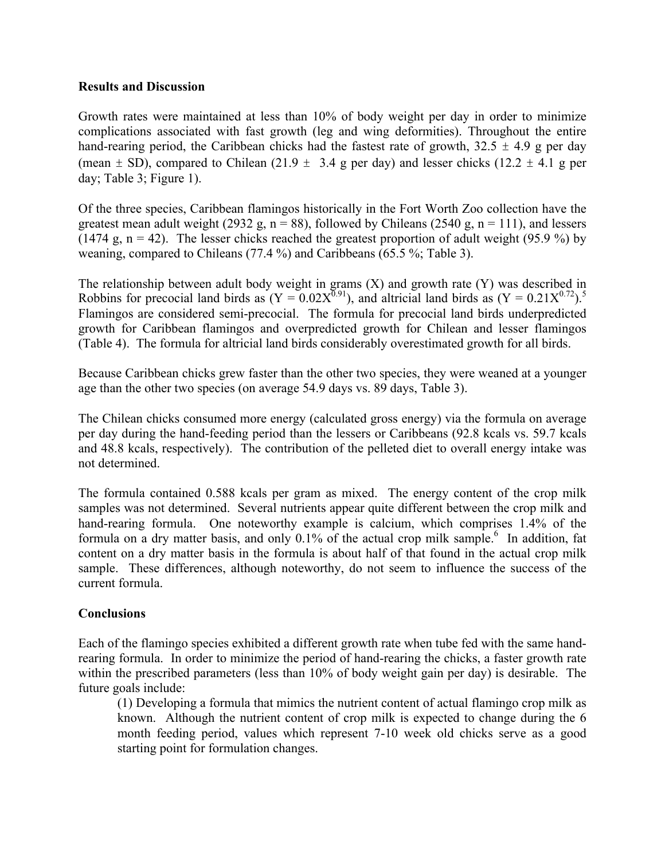## **Results and Discussion**

Growth rates were maintained at less than 10% of body weight per day in order to minimize complications associated with fast growth (leg and wing deformities). Throughout the entire hand-rearing period, the Caribbean chicks had the fastest rate of growth,  $32.5 \pm 4.9$  g per day (mean  $\pm$  SD), compared to Chilean (21.9  $\pm$  3.4 g per day) and lesser chicks (12.2  $\pm$  4.1 g per day; Table 3; Figure 1).

Of the three species, Caribbean flamingos historically in the Fort Worth Zoo collection have the greatest mean adult weight (2932 g,  $n = 88$ ), followed by Chileans (2540 g,  $n = 111$ ), and lessers (1474 g,  $n = 42$ ). The lesser chicks reached the greatest proportion of adult weight (95.9 %) by weaning, compared to Chileans (77.4 %) and Caribbeans (65.5 %; Table 3).

The relationship between adult body weight in grams (X) and growth rate (Y) was described in Robbins for precocial land birds as  $(Y = 0.02X^{0.91})$ , and altricial land birds as  $(Y = 0.21X^{0.72})^{5}$ . Flamingos are considered semi-precocial. The formula for precocial land birds underpredicted growth for Caribbean flamingos and overpredicted growth for Chilean and lesser flamingos (Table 4). The formula for altricial land birds considerably overestimated growth for all birds.

Because Caribbean chicks grew faster than the other two species, they were weaned at a younger age than the other two species (on average 54.9 days vs. 89 days, Table 3).

The Chilean chicks consumed more energy (calculated gross energy) via the formula on average per day during the hand-feeding period than the lessers or Caribbeans (92.8 kcals vs. 59.7 kcals and 48.8 kcals, respectively). The contribution of the pelleted diet to overall energy intake was not determined.

The formula contained 0.588 kcals per gram as mixed. The energy content of the crop milk samples was not determined. Several nutrients appear quite different between the crop milk and hand-rearing formula. One noteworthy example is calcium, which comprises 1.4% of the formula on a dry matter basis, and only  $0.1\%$  of the actual crop milk sample.<sup>6</sup> In addition, fat content on a dry matter basis in the formula is about half of that found in the actual crop milk sample. These differences, although noteworthy, do not seem to influence the success of the current formula.

## **Conclusions**

Each of the flamingo species exhibited a different growth rate when tube fed with the same handrearing formula. In order to minimize the period of hand-rearing the chicks, a faster growth rate within the prescribed parameters (less than 10% of body weight gain per day) is desirable. The future goals include:

(1) Developing a formula that mimics the nutrient content of actual flamingo crop milk as known. Although the nutrient content of crop milk is expected to change during the 6 month feeding period, values which represent 7-10 week old chicks serve as a good starting point for formulation changes.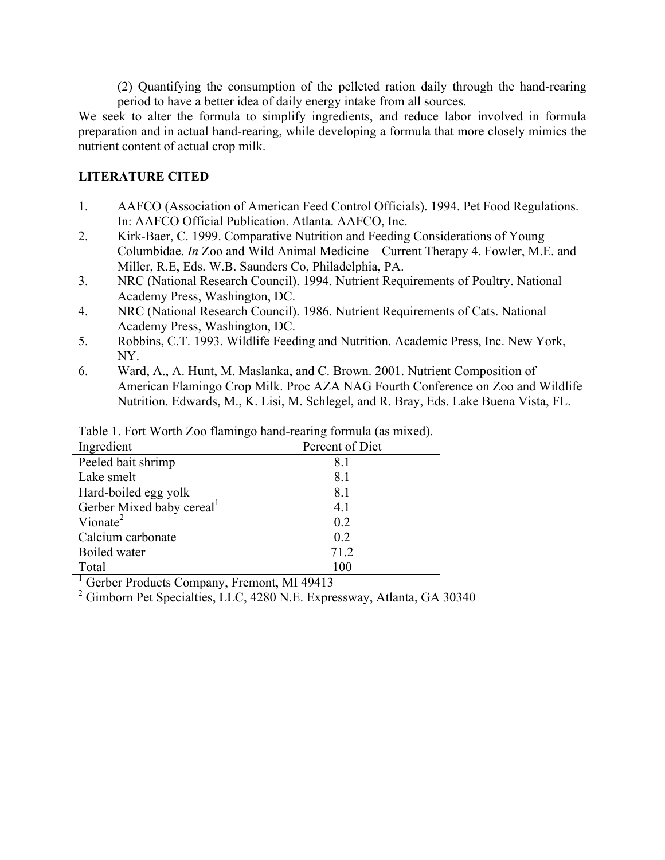(2) Quantifying the consumption of the pelleted ration daily through the hand-rearing period to have a better idea of daily energy intake from all sources.

We seek to alter the formula to simplify ingredients, and reduce labor involved in formula preparation and in actual hand-rearing, while developing a formula that more closely mimics the nutrient content of actual crop milk.

# **LITERATURE CITED**

- 1. AAFCO (Association of American Feed Control Officials). 1994. Pet Food Regulations. In: AAFCO Official Publication. Atlanta. AAFCO, Inc.
- 2. Kirk-Baer, C. 1999. Comparative Nutrition and Feeding Considerations of Young Columbidae. *In* Zoo and Wild Animal Medicine – Current Therapy 4. Fowler, M.E. and Miller, R.E, Eds. W.B. Saunders Co, Philadelphia, PA.
- 3. NRC (National Research Council). 1994. Nutrient Requirements of Poultry. National Academy Press, Washington, DC.
- 4. NRC (National Research Council). 1986. Nutrient Requirements of Cats. National Academy Press, Washington, DC.
- 5. Robbins, C.T. 1993. Wildlife Feeding and Nutrition. Academic Press, Inc. New York, NY.
- 6. Ward, A., A. Hunt, M. Maslanka, and C. Brown. 2001. Nutrient Composition of American Flamingo Crop Milk. Proc AZA NAG Fourth Conference on Zoo and Wildlife Nutrition. Edwards, M., K. Lisi, M. Schlegel, and R. Bray, Eds. Lake Buena Vista, FL.

| Ingredient                            | Percent of Diet |  |
|---------------------------------------|-----------------|--|
| Peeled bait shrimp                    | 8.1             |  |
| Lake smelt                            | 8.1             |  |
| Hard-boiled egg yolk                  | 8.1             |  |
| Gerber Mixed baby cereal <sup>1</sup> | 4.1             |  |
| Vionate <sup>2</sup>                  | 0.2             |  |
| Calcium carbonate                     | 0.2             |  |
| Boiled water                          | 71.2            |  |
| Total                                 | 100             |  |
|                                       |                 |  |

Table 1. Fort Worth Zoo flamingo hand-rearing formula (as mixed).

<sup>1</sup> Gerber Products Company, Fremont, MI 49413

<sup>2</sup> Gimborn Pet Specialties, LLC, 4280 N.E. Expressway, Atlanta, GA 30340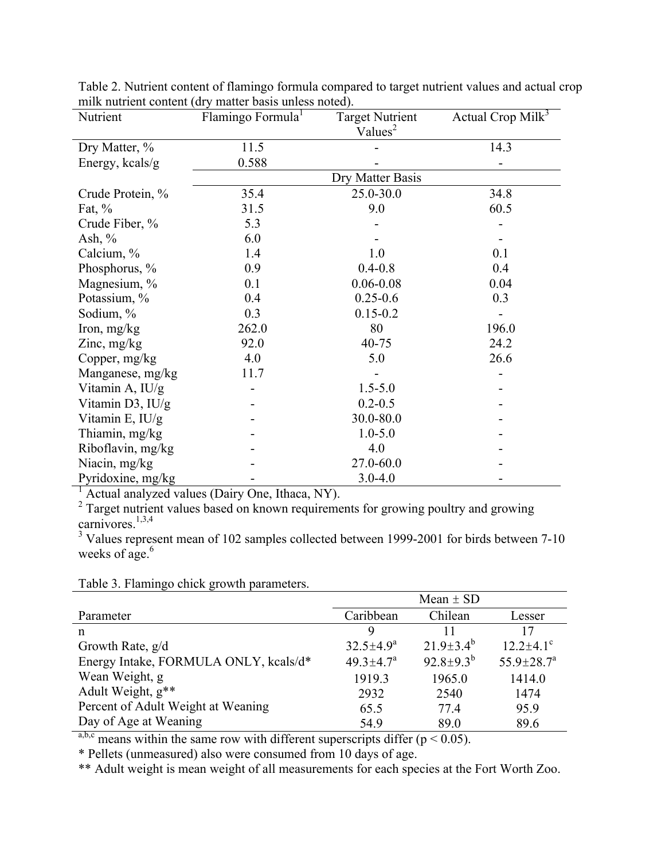| Nutrient          | Flamingo Formula <sup>1</sup> | <b>Target Nutrient</b> | Actual Crop Mil $k^3$ |
|-------------------|-------------------------------|------------------------|-----------------------|
|                   |                               | Values <sup>2</sup>    |                       |
| Dry Matter, %     | 11.5                          |                        | 14.3                  |
| Energy, kcals/g   | 0.588                         |                        |                       |
|                   |                               | Dry Matter Basis       |                       |
| Crude Protein, %  | 35.4                          | 25.0-30.0              | 34.8                  |
| Fat, $\%$         | 31.5                          | 9.0                    | 60.5                  |
| Crude Fiber, %    | 5.3                           |                        |                       |
| Ash, $\%$         | 6.0                           |                        |                       |
| Calcium, %        | 1.4                           | 1.0                    | 0.1                   |
| Phosphorus, %     | 0.9                           | $0.4 - 0.8$            | 0.4                   |
| Magnesium, %      | 0.1                           | $0.06 - 0.08$          | 0.04                  |
| Potassium, %      | 0.4                           | $0.25 - 0.6$           | 0.3                   |
| Sodium, %         | 0.3                           | $0.15 - 0.2$           |                       |
| Iron, $mg/kg$     | 262.0                         | 80                     | 196.0                 |
| Zinc, $mg/kg$     | 92.0                          | 40-75                  | 24.2                  |
| Copper, $mg/kg$   | 4.0                           | 5.0                    | 26.6                  |
| Manganese, mg/kg  | 11.7                          |                        |                       |
| Vitamin A, IU/g   |                               | $1.5 - 5.0$            |                       |
| Vitamin D3, IU/g  |                               | $0.2 - 0.5$            |                       |
| Vitamin E, $IU/g$ |                               | 30.0-80.0              |                       |
| Thiamin, mg/kg    |                               | $1.0 - 5.0$            |                       |
| Riboflavin, mg/kg |                               | 4.0                    |                       |
| Niacin, mg/kg     |                               | 27.0-60.0              |                       |
| Pyridoxine, mg/kg |                               | $3.0 - 4.0$            |                       |

Table 2. Nutrient content of flamingo formula compared to target nutrient values and actual crop milk nutrient content (dry matter basis unless noted).

<sup>1</sup> Actual analyzed values (Dairy One, Ithaca, NY).

 $2$  Target nutrient values based on known requirements for growing poultry and growing carnivores. $\frac{1,3,4}{2}$ 

<sup>3</sup> Values represent mean of 102 samples collected between 1999-2001 for birds between 7-10 weeks of  $\frac{1}{2}$ 

Table 3. Flamingo chick growth parameters.

|                                       | Mean $\pm$ SD               |                  |                             |
|---------------------------------------|-----------------------------|------------------|-----------------------------|
| Parameter                             | Caribbean                   | Chilean          | Lesser                      |
| n                                     | 9                           | 11               | 17                          |
| Growth Rate, g/d                      | $32.5 \pm 4.9^a$            | $21.9 \pm 3.4^b$ | $12.2 \pm 4.1$ <sup>c</sup> |
| Energy Intake, FORMULA ONLY, kcals/d* | $49.3 \pm 4.7$ <sup>a</sup> | $92.8 \pm 9.3^b$ | $55.9 \pm 28.7^a$           |
| Wean Weight, g                        | 1919.3                      | 1965.0           | 1414.0                      |
| Adult Weight, $g^{**}$                | 2932                        | 2540             | 1474                        |
| Percent of Adult Weight at Weaning    | 65.5                        | 77.4             | 95.9                        |
| Day of Age at Weaning                 | 54.9                        | 89.0             | 89.6                        |

a,b,c means within the same row with different superscripts differ ( $p < 0.05$ ).

\* Pellets (unmeasured) also were consumed from 10 days of age.

\*\* Adult weight is mean weight of all measurements for each species at the Fort Worth Zoo.